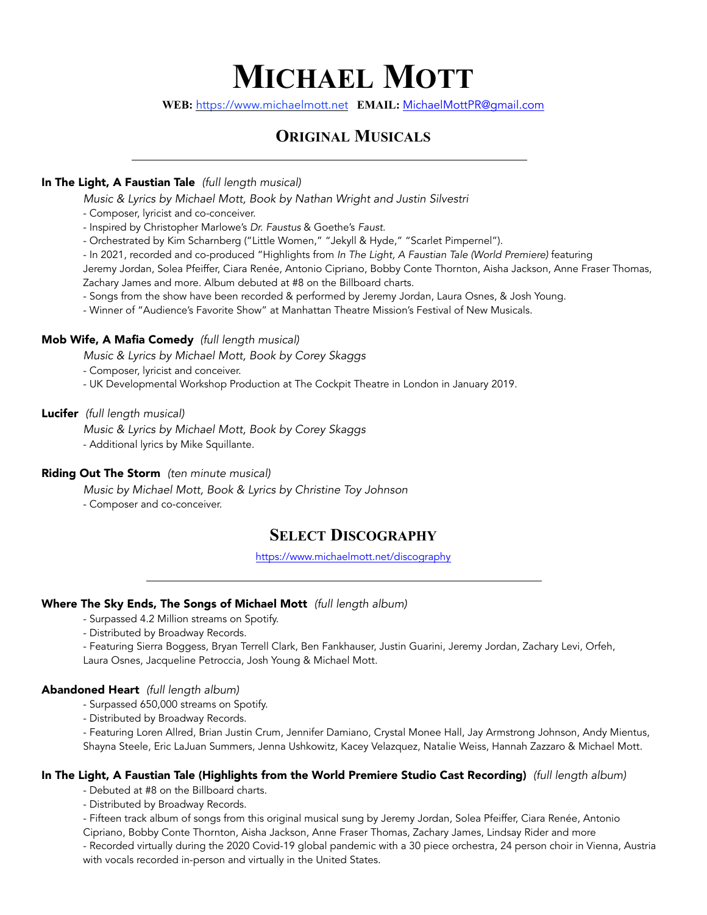# **MICHAEL MOTT**

**WEB:** https://www.michaelmott.net **EMAIL:** [MichaelMottPR@gmail.com](mailto:MichaelMottPR@gmail.com)

## **ORIGINAL MUSICALS**

#### In The Light, A Faustian Tale *(full length musical)*

*Music & Lyrics by Michael Mott, Book by Nathan Wright and Justin Silvestri*

- Composer, lyricist and co-conceiver.
- Inspired by Christopher Marlowe's *Dr. Faustus* & Goethe's *Faust.*
- Orchestrated by Kim Scharnberg ("Little Women," "Jekyll & Hyde," "Scarlet Pimpernel").
- In 2021, recorded and co-produced "Highlights from *In The Light, A Faustian Tale (World Premiere)* featuring

Jeremy Jordan, Solea Pfeiffer, Ciara Renée, Antonio Cipriano, Bobby Conte Thornton, Aisha Jackson, Anne Fraser Thomas, Zachary James and more. Album debuted at #8 on the Billboard charts.

- Songs from the show have been recorded & performed by Jeremy Jordan, Laura Osnes, & Josh Young.
- Winner of "Audience's Favorite Show" at Manhattan Theatre Mission's Festival of New Musicals.

#### Mob Wife, A Mafia Comedy *(full length musical)*

*Music & Lyrics by Michael Mott, Book by Corey Skaggs*

- Composer, lyricist and conceiver.
- UK Developmental Workshop Production at The Cockpit Theatre in London in January 2019.

#### Lucifer *(full length musical)*

*Music & Lyrics by Michael Mott, Book by Corey Skaggs*

- Additional lyrics by Mike Squillante.

#### Riding Out The Storm *(ten minute musical)*

*Music by Michael Mott, Book & Lyrics by Christine Toy Johnson*

- Composer and co-conceiver.

### **SELECT DISCOGRAPHY**

<https://www.michaelmott.net/discography>

#### Where The Sky Ends, The Songs of Michael Mott *(full length album)*

- Surpassed 4.2 Million streams on Spotify.
- Distributed by Broadway Records.
- Featuring Sierra Boggess, Bryan Terrell Clark, Ben Fankhauser, Justin Guarini, Jeremy Jordan, Zachary Levi, Orfeh, Laura Osnes, Jacqueline Petroccia, Josh Young & Michael Mott.

#### Abandoned Heart *(full length album)*

- Surpassed 650,000 streams on Spotify.
- Distributed by Broadway Records.

- Featuring Loren Allred, Brian Justin Crum, Jennifer Damiano, Crystal Monee Hall, Jay Armstrong Johnson, Andy Mientus, Shayna Steele, Eric LaJuan Summers, Jenna Ushkowitz, Kacey Velazquez, Natalie Weiss, Hannah Zazzaro & Michael Mott.

#### In The Light, A Faustian Tale (Highlights from the World Premiere Studio Cast Recording) *(full length album)*

- Debuted at #8 on the Billboard charts.

- Distributed by Broadway Records.

- Fifteen track album of songs from this original musical sung by Jeremy Jordan, Solea Pfeiffer, Ciara Renée, Antonio

Cipriano, Bobby Conte Thornton, Aisha Jackson, Anne Fraser Thomas, Zachary James, Lindsay Rider and more

- Recorded virtually during the 2020 Covid-19 global pandemic with a 30 piece orchestra, 24 person choir in Vienna, Austria with vocals recorded in-person and virtually in the United States.